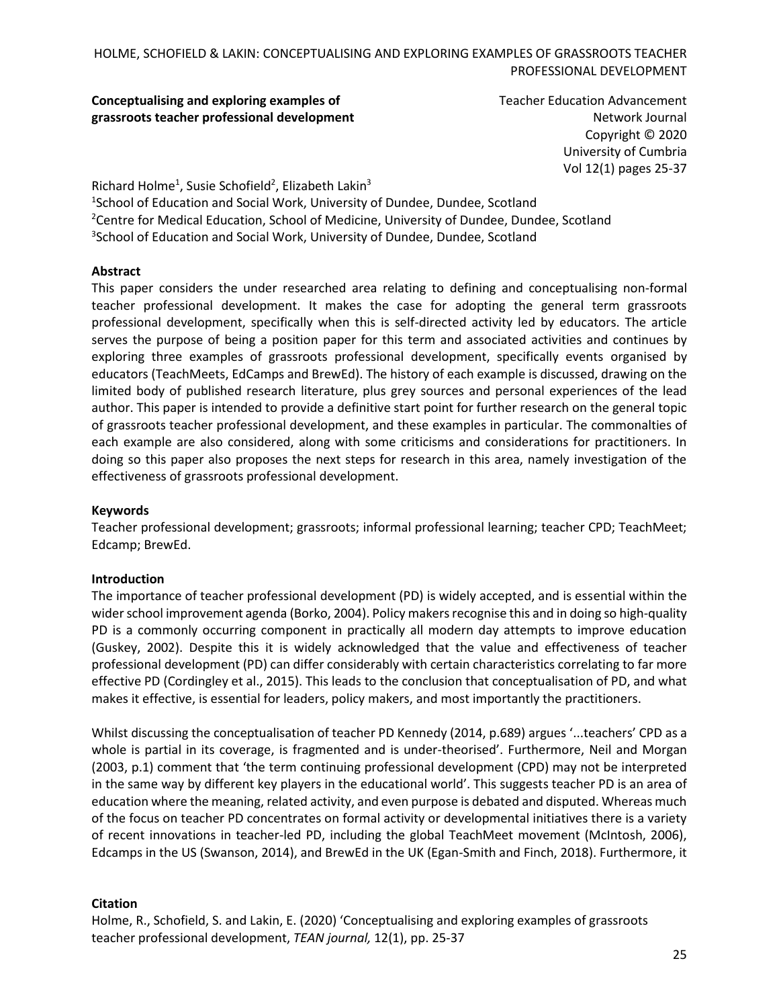**Conceptualising and exploring examples of grassroots teacher professional development** Teacher Education Advancement Network Journal Copyright © 2020 University of Cumbria Vol 12(1) pages 25-37

Richard Holme<sup>1</sup>, Susie Schofield<sup>2</sup>, Elizabeth Lakin<sup>3</sup> <sup>1</sup>School of Education and Social Work, University of Dundee, Dundee, Scotland <sup>2</sup>Centre for Medical Education, School of Medicine, University of Dundee, Dundee, Scotland <sup>3</sup>School of Education and Social Work, University of Dundee, Dundee, Scotland

### **Abstract**

This paper considers the under researched area relating to defining and conceptualising non-formal teacher professional development. It makes the case for adopting the general term grassroots professional development, specifically when this is self-directed activity led by educators. The article serves the purpose of being a position paper for this term and associated activities and continues by exploring three examples of grassroots professional development, specifically events organised by educators (TeachMeets, EdCamps and BrewEd). The history of each example is discussed, drawing on the limited body of published research literature, plus grey sources and personal experiences of the lead author. This paper is intended to provide a definitive start point for further research on the general topic of grassroots teacher professional development, and these examples in particular. The commonalties of each example are also considered, along with some criticisms and considerations for practitioners. In doing so this paper also proposes the next steps for research in this area, namely investigation of the effectiveness of grassroots professional development.

#### **Keywords**

Teacher professional development; grassroots; informal professional learning; teacher CPD; TeachMeet; Edcamp; BrewEd.

#### **Introduction**

The importance of teacher professional development (PD) is widely accepted, and is essential within the wider school improvement agenda (Borko, 2004). Policy makers recognise this and in doing so high-quality PD is a commonly occurring component in practically all modern day attempts to improve education (Guskey, 2002). Despite this it is widely acknowledged that the value and effectiveness of teacher professional development (PD) can differ considerably with certain characteristics correlating to far more effective PD (Cordingley et al., 2015). This leads to the conclusion that conceptualisation of PD, and what makes it effective, is essential for leaders, policy makers, and most importantly the practitioners.

Whilst discussing the conceptualisation of teacher PD Kennedy (2014, p.689) argues '...teachers' CPD as a whole is partial in its coverage, is fragmented and is under-theorised'. Furthermore, Neil and Morgan (2003, p.1) comment that 'the term continuing professional development (CPD) may not be interpreted in the same way by different key players in the educational world'. This suggests teacher PD is an area of education where the meaning, related activity, and even purpose is debated and disputed. Whereas much of the focus on teacher PD concentrates on formal activity or developmental initiatives there is a variety of recent innovations in teacher-led PD, including the global TeachMeet movement (McIntosh, 2006), Edcamps in the US (Swanson, 2014), and BrewEd in the UK (Egan-Smith and Finch, 2018). Furthermore, it

### **Citation**

Holme, R., Schofield, S. and Lakin, E. (2020) 'Conceptualising and exploring examples of grassroots teacher professional development, *TEAN journal,* 12(1), pp. 25-37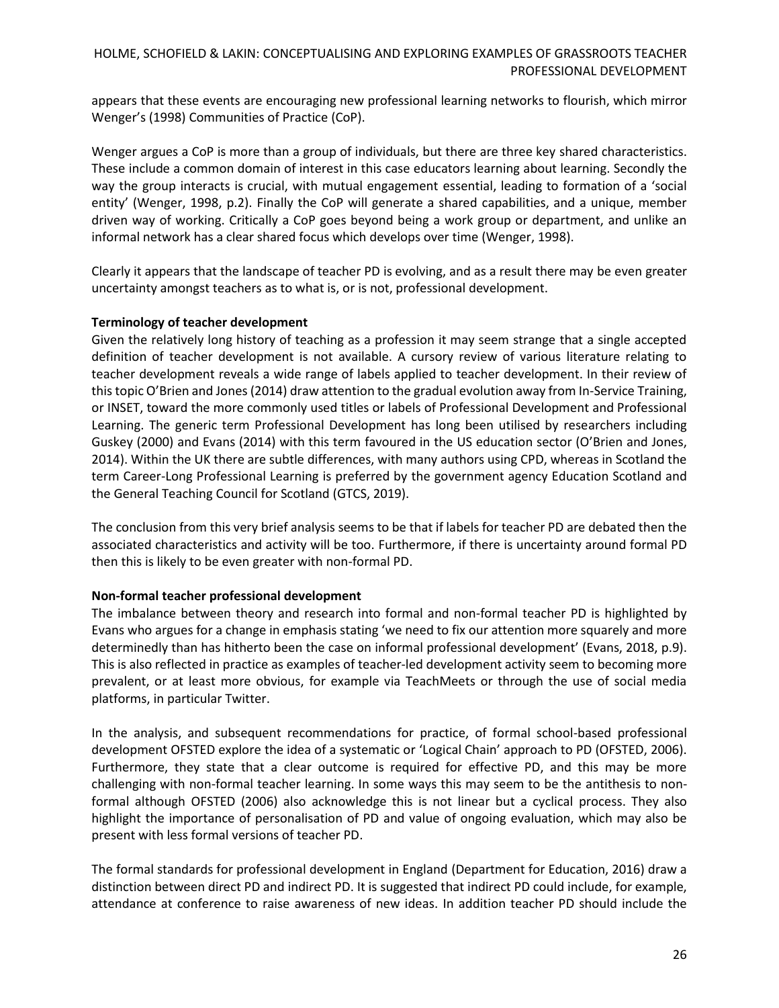appears that these events are encouraging new professional learning networks to flourish, which mirror Wenger's (1998) Communities of Practice (CoP).

Wenger argues a CoP is more than a group of individuals, but there are three key shared characteristics. These include a common domain of interest in this case educators learning about learning. Secondly the way the group interacts is crucial, with mutual engagement essential, leading to formation of a 'social entity' (Wenger, 1998, p.2). Finally the CoP will generate a shared capabilities, and a unique, member driven way of working. Critically a CoP goes beyond being a work group or department, and unlike an informal network has a clear shared focus which develops over time (Wenger, 1998).

Clearly it appears that the landscape of teacher PD is evolving, and as a result there may be even greater uncertainty amongst teachers as to what is, or is not, professional development.

### **Terminology of teacher development**

Given the relatively long history of teaching as a profession it may seem strange that a single accepted definition of teacher development is not available. A cursory review of various literature relating to teacher development reveals a wide range of labels applied to teacher development. In their review of this topic O'Brien and Jones (2014) draw attention to the gradual evolution away from In-Service Training, or INSET, toward the more commonly used titles or labels of Professional Development and Professional Learning. The generic term Professional Development has long been utilised by researchers including Guskey (2000) and Evans (2014) with this term favoured in the US education sector (O'Brien and Jones, 2014). Within the UK there are subtle differences, with many authors using CPD, whereas in Scotland the term Career-Long Professional Learning is preferred by the government agency Education Scotland and the General Teaching Council for Scotland (GTCS, 2019).

The conclusion from this very brief analysis seems to be that if labels for teacher PD are debated then the associated characteristics and activity will be too. Furthermore, if there is uncertainty around formal PD then this is likely to be even greater with non-formal PD.

# **Non-formal teacher professional development**

The imbalance between theory and research into formal and non-formal teacher PD is highlighted by Evans who argues for a change in emphasis stating 'we need to fix our attention more squarely and more determinedly than has hitherto been the case on informal professional development' (Evans, 2018, p.9). This is also reflected in practice as examples of teacher-led development activity seem to becoming more prevalent, or at least more obvious, for example via TeachMeets or through the use of social media platforms, in particular Twitter.

In the analysis, and subsequent recommendations for practice, of formal school-based professional development OFSTED explore the idea of a systematic or 'Logical Chain' approach to PD (OFSTED, 2006). Furthermore, they state that a clear outcome is required for effective PD, and this may be more challenging with non-formal teacher learning. In some ways this may seem to be the antithesis to nonformal although OFSTED (2006) also acknowledge this is not linear but a cyclical process. They also highlight the importance of personalisation of PD and value of ongoing evaluation, which may also be present with less formal versions of teacher PD.

The formal standards for professional development in England (Department for Education, 2016) draw a distinction between direct PD and indirect PD. It is suggested that indirect PD could include, for example, attendance at conference to raise awareness of new ideas. In addition teacher PD should include the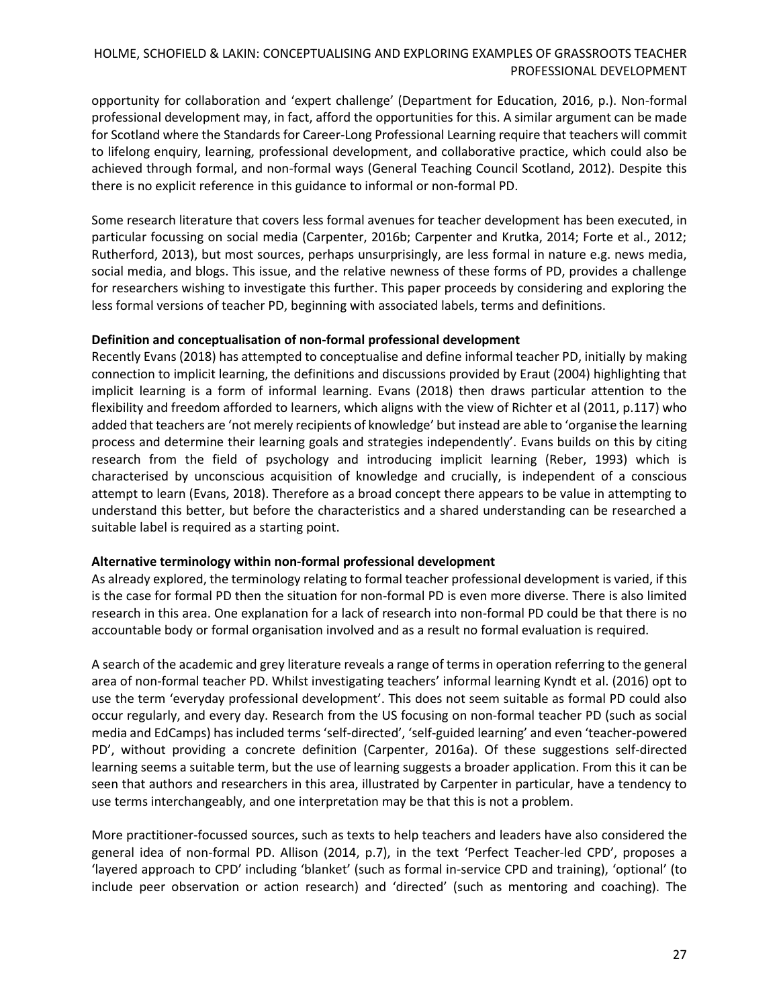opportunity for collaboration and 'expert challenge' (Department for Education, 2016, p.). Non-formal professional development may, in fact, afford the opportunities for this. A similar argument can be made for Scotland where the Standards for Career-Long Professional Learning require that teachers will commit to lifelong enquiry, learning, professional development, and collaborative practice, which could also be achieved through formal, and non-formal ways (General Teaching Council Scotland, 2012). Despite this there is no explicit reference in this guidance to informal or non-formal PD.

Some research literature that covers less formal avenues for teacher development has been executed, in particular focussing on social media (Carpenter, 2016b; Carpenter and Krutka, 2014; Forte et al., 2012; Rutherford, 2013), but most sources, perhaps unsurprisingly, are less formal in nature e.g. news media, social media, and blogs. This issue, and the relative newness of these forms of PD, provides a challenge for researchers wishing to investigate this further. This paper proceeds by considering and exploring the less formal versions of teacher PD, beginning with associated labels, terms and definitions.

### **Definition and conceptualisation of non-formal professional development**

Recently Evans (2018) has attempted to conceptualise and define informal teacher PD, initially by making connection to implicit learning, the definitions and discussions provided by Eraut (2004) highlighting that implicit learning is a form of informal learning. Evans (2018) then draws particular attention to the flexibility and freedom afforded to learners, which aligns with the view of Richter et al (2011, p.117) who added that teachers are 'not merely recipients of knowledge' but instead are able to 'organise the learning process and determine their learning goals and strategies independently'. Evans builds on this by citing research from the field of psychology and introducing implicit learning (Reber, 1993) which is characterised by unconscious acquisition of knowledge and crucially, is independent of a conscious attempt to learn (Evans, 2018). Therefore as a broad concept there appears to be value in attempting to understand this better, but before the characteristics and a shared understanding can be researched a suitable label is required as a starting point.

### **Alternative terminology within non-formal professional development**

As already explored, the terminology relating to formal teacher professional development is varied, if this is the case for formal PD then the situation for non-formal PD is even more diverse. There is also limited research in this area. One explanation for a lack of research into non-formal PD could be that there is no accountable body or formal organisation involved and as a result no formal evaluation is required.

A search of the academic and grey literature reveals a range of terms in operation referring to the general area of non-formal teacher PD. Whilst investigating teachers' informal learning Kyndt et al. (2016) opt to use the term 'everyday professional development'. This does not seem suitable as formal PD could also occur regularly, and every day. Research from the US focusing on non-formal teacher PD (such as social media and EdCamps) has included terms 'self-directed', 'self-guided learning' and even 'teacher-powered PD', without providing a concrete definition (Carpenter, 2016a). Of these suggestions self-directed learning seems a suitable term, but the use of learning suggests a broader application. From this it can be seen that authors and researchers in this area, illustrated by Carpenter in particular, have a tendency to use terms interchangeably, and one interpretation may be that this is not a problem.

More practitioner-focussed sources, such as texts to help teachers and leaders have also considered the general idea of non-formal PD. Allison (2014, p.7), in the text 'Perfect Teacher-led CPD', proposes a 'layered approach to CPD' including 'blanket' (such as formal in-service CPD and training), 'optional' (to include peer observation or action research) and 'directed' (such as mentoring and coaching). The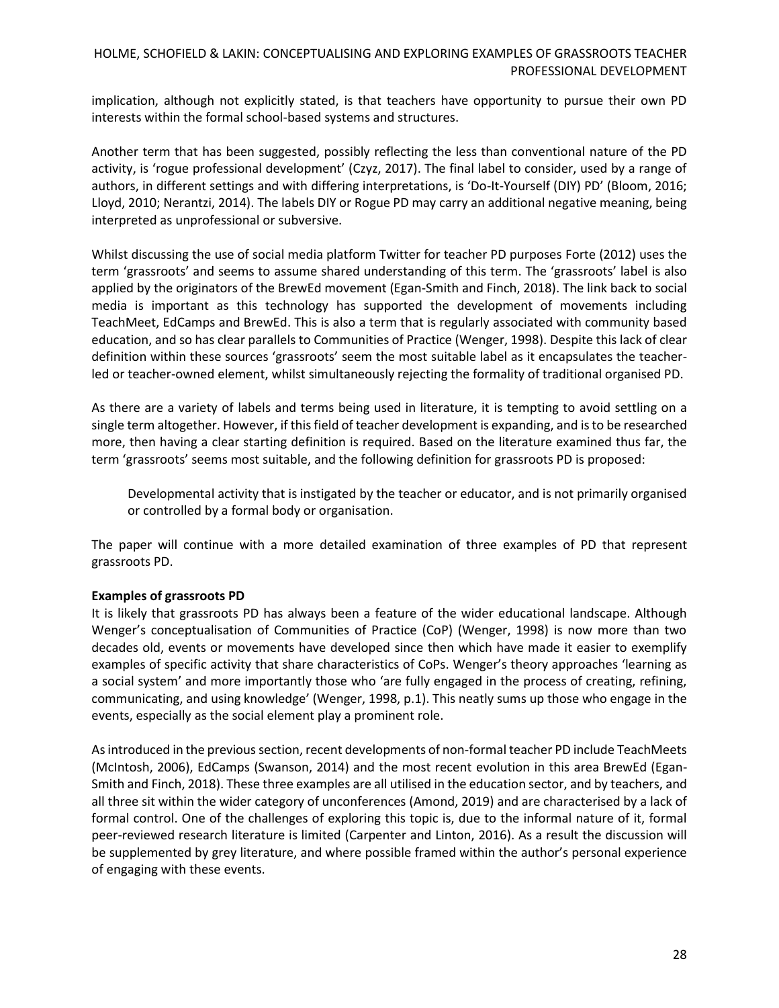implication, although not explicitly stated, is that teachers have opportunity to pursue their own PD interests within the formal school-based systems and structures.

Another term that has been suggested, possibly reflecting the less than conventional nature of the PD activity, is 'rogue professional development' (Czyz, 2017). The final label to consider, used by a range of authors, in different settings and with differing interpretations, is 'Do-It-Yourself (DIY) PD' (Bloom, 2016; Lloyd, 2010; Nerantzi, 2014). The labels DIY or Rogue PD may carry an additional negative meaning, being interpreted as unprofessional or subversive.

Whilst discussing the use of social media platform Twitter for teacher PD purposes Forte (2012) uses the term 'grassroots' and seems to assume shared understanding of this term. The 'grassroots' label is also applied by the originators of the BrewEd movement (Egan-Smith and Finch, 2018). The link back to social media is important as this technology has supported the development of movements including TeachMeet, EdCamps and BrewEd. This is also a term that is regularly associated with community based education, and so has clear parallels to Communities of Practice (Wenger, 1998). Despite this lack of clear definition within these sources 'grassroots' seem the most suitable label as it encapsulates the teacherled or teacher-owned element, whilst simultaneously rejecting the formality of traditional organised PD.

As there are a variety of labels and terms being used in literature, it is tempting to avoid settling on a single term altogether. However, if this field of teacher development is expanding, and is to be researched more, then having a clear starting definition is required. Based on the literature examined thus far, the term 'grassroots' seems most suitable, and the following definition for grassroots PD is proposed:

Developmental activity that is instigated by the teacher or educator, and is not primarily organised or controlled by a formal body or organisation.

The paper will continue with a more detailed examination of three examples of PD that represent grassroots PD.

### **Examples of grassroots PD**

It is likely that grassroots PD has always been a feature of the wider educational landscape. Although Wenger's conceptualisation of Communities of Practice (CoP) (Wenger, 1998) is now more than two decades old, events or movements have developed since then which have made it easier to exemplify examples of specific activity that share characteristics of CoPs. Wenger's theory approaches 'learning as a social system' and more importantly those who 'are fully engaged in the process of creating, refining, communicating, and using knowledge' (Wenger, 1998, p.1). This neatly sums up those who engage in the events, especially as the social element play a prominent role.

As introduced in the previous section, recent developments of non-formal teacher PD include TeachMeets (McIntosh, 2006), EdCamps (Swanson, 2014) and the most recent evolution in this area BrewEd (Egan-Smith and Finch, 2018). These three examples are all utilised in the education sector, and by teachers, and all three sit within the wider category of unconferences (Amond, 2019) and are characterised by a lack of formal control. One of the challenges of exploring this topic is, due to the informal nature of it, formal peer-reviewed research literature is limited (Carpenter and Linton, 2016). As a result the discussion will be supplemented by grey literature, and where possible framed within the author's personal experience of engaging with these events.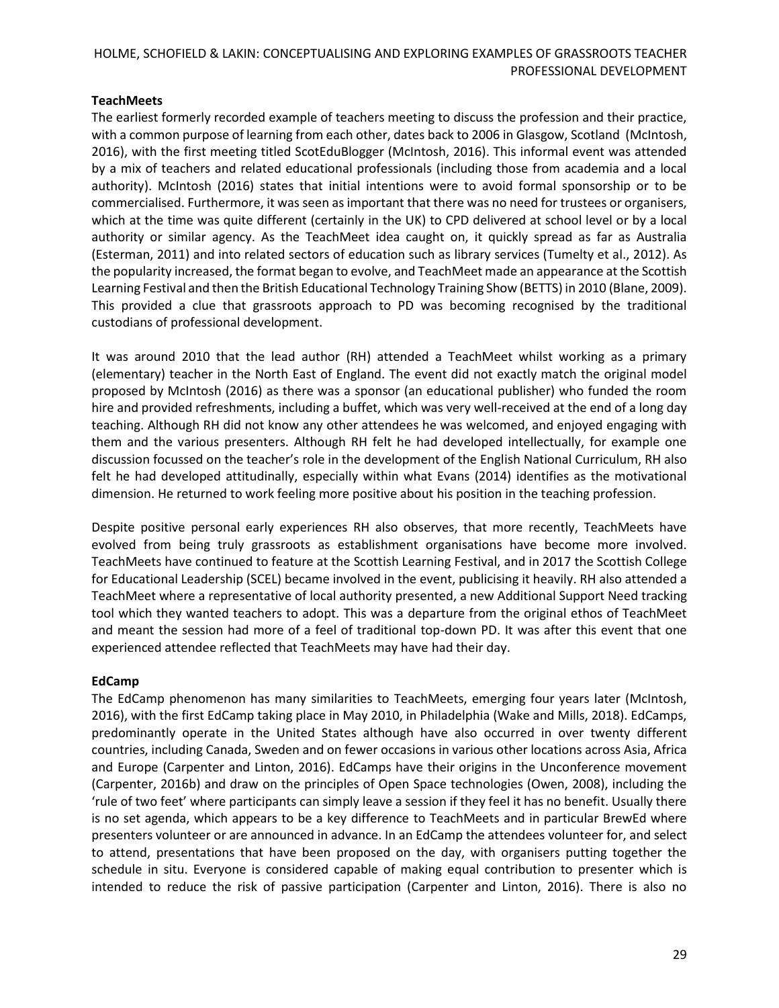# **TeachMeets**

The earliest formerly recorded example of teachers meeting to discuss the profession and their practice, with a common purpose of learning from each other, dates back to 2006 in Glasgow, Scotland (McIntosh, 2016), with the first meeting titled ScotEduBlogger (McIntosh, 2016). This informal event was attended by a mix of teachers and related educational professionals (including those from academia and a local authority). McIntosh (2016) states that initial intentions were to avoid formal sponsorship or to be commercialised. Furthermore, it was seen as important that there was no need for trustees or organisers, which at the time was quite different (certainly in the UK) to CPD delivered at school level or by a local authority or similar agency. As the TeachMeet idea caught on, it quickly spread as far as Australia (Esterman, 2011) and into related sectors of education such as library services (Tumelty et al., 2012). As the popularity increased, the format began to evolve, and TeachMeet made an appearance at the Scottish Learning Festival and then the British Educational Technology Training Show (BETTS) in 2010 (Blane, 2009). This provided a clue that grassroots approach to PD was becoming recognised by the traditional custodians of professional development.

It was around 2010 that the lead author (RH) attended a TeachMeet whilst working as a primary (elementary) teacher in the North East of England. The event did not exactly match the original model proposed by McIntosh (2016) as there was a sponsor (an educational publisher) who funded the room hire and provided refreshments, including a buffet, which was very well-received at the end of a long day teaching. Although RH did not know any other attendees he was welcomed, and enjoyed engaging with them and the various presenters. Although RH felt he had developed intellectually, for example one discussion focussed on the teacher's role in the development of the English National Curriculum, RH also felt he had developed attitudinally, especially within what Evans (2014) identifies as the motivational dimension. He returned to work feeling more positive about his position in the teaching profession.

Despite positive personal early experiences RH also observes, that more recently, TeachMeets have evolved from being truly grassroots as establishment organisations have become more involved. TeachMeets have continued to feature at the Scottish Learning Festival, and in 2017 the Scottish College for Educational Leadership (SCEL) became involved in the event, publicising it heavily. RH also attended a TeachMeet where a representative of local authority presented, a new Additional Support Need tracking tool which they wanted teachers to adopt. This was a departure from the original ethos of TeachMeet and meant the session had more of a feel of traditional top-down PD. It was after this event that one experienced attendee reflected that TeachMeets may have had their day.

### **EdCamp**

The EdCamp phenomenon has many similarities to TeachMeets, emerging four years later (McIntosh, 2016), with the first EdCamp taking place in May 2010, in Philadelphia (Wake and Mills, 2018). EdCamps, predominantly operate in the United States although have also occurred in over twenty different countries, including Canada, Sweden and on fewer occasions in various other locations across Asia, Africa and Europe (Carpenter and Linton, 2016). EdCamps have their origins in the Unconference movement (Carpenter, 2016b) and draw on the principles of Open Space technologies (Owen, 2008), including the 'rule of two feet' where participants can simply leave a session if they feel it has no benefit. Usually there is no set agenda, which appears to be a key difference to TeachMeets and in particular BrewEd where presenters volunteer or are announced in advance. In an EdCamp the attendees volunteer for, and select to attend, presentations that have been proposed on the day, with organisers putting together the schedule in situ. Everyone is considered capable of making equal contribution to presenter which is intended to reduce the risk of passive participation (Carpenter and Linton, 2016). There is also no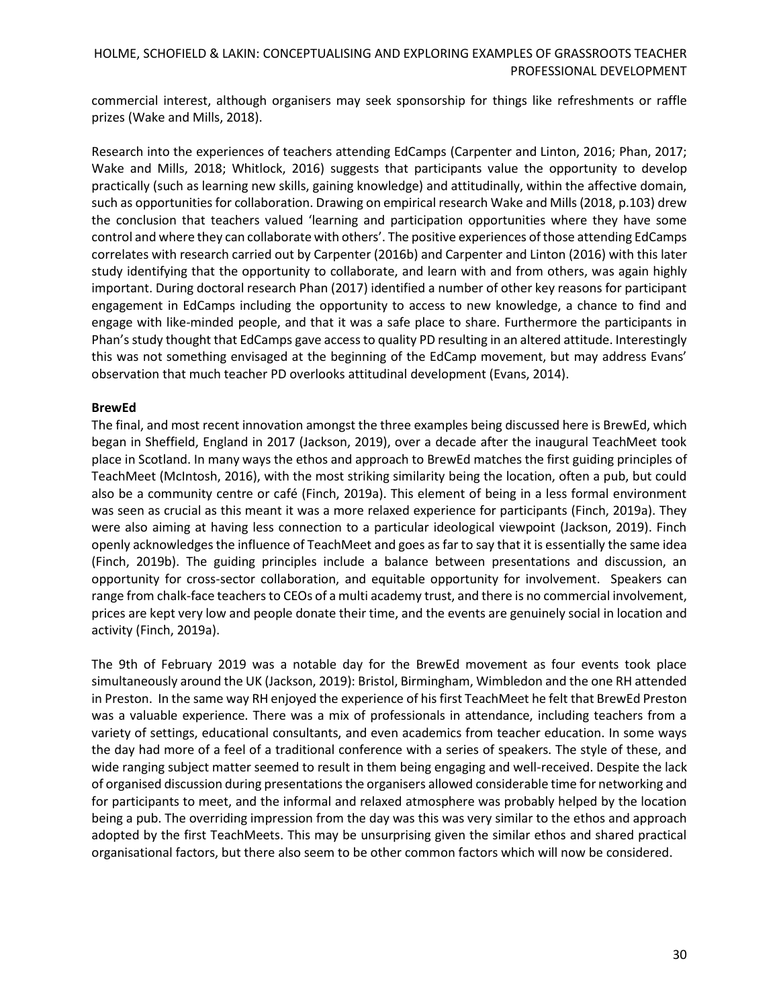commercial interest, although organisers may seek sponsorship for things like refreshments or raffle prizes (Wake and Mills, 2018).

Research into the experiences of teachers attending EdCamps (Carpenter and Linton, 2016; Phan, 2017; Wake and Mills, 2018; Whitlock, 2016) suggests that participants value the opportunity to develop practically (such as learning new skills, gaining knowledge) and attitudinally, within the affective domain, such as opportunities for collaboration. Drawing on empirical research Wake and Mills (2018, p.103) drew the conclusion that teachers valued 'learning and participation opportunities where they have some control and where they can collaborate with others'. The positive experiences of those attending EdCamps correlates with research carried out by Carpenter (2016b) and Carpenter and Linton (2016) with this later study identifying that the opportunity to collaborate, and learn with and from others, was again highly important. During doctoral research Phan (2017) identified a number of other key reasons for participant engagement in EdCamps including the opportunity to access to new knowledge, a chance to find and engage with like-minded people, and that it was a safe place to share. Furthermore the participants in Phan's study thought that EdCamps gave access to quality PD resulting in an altered attitude. Interestingly this was not something envisaged at the beginning of the EdCamp movement, but may address Evans' observation that much teacher PD overlooks attitudinal development (Evans, 2014).

### **BrewEd**

The final, and most recent innovation amongst the three examples being discussed here is BrewEd, which began in Sheffield, England in 2017 (Jackson, 2019), over a decade after the inaugural TeachMeet took place in Scotland. In many ways the ethos and approach to BrewEd matches the first guiding principles of TeachMeet (McIntosh, 2016), with the most striking similarity being the location, often a pub, but could also be a community centre or café (Finch, 2019a). This element of being in a less formal environment was seen as crucial as this meant it was a more relaxed experience for participants (Finch, 2019a). They were also aiming at having less connection to a particular ideological viewpoint (Jackson, 2019). Finch openly acknowledges the influence of TeachMeet and goes as far to say that it is essentially the same idea (Finch, 2019b). The guiding principles include a balance between presentations and discussion, an opportunity for cross-sector collaboration, and equitable opportunity for involvement. Speakers can range from chalk-face teachers to CEOs of a multi academy trust, and there is no commercial involvement, prices are kept very low and people donate their time, and the events are genuinely social in location and activity (Finch, 2019a).

The 9th of February 2019 was a notable day for the BrewEd movement as four events took place simultaneously around the UK (Jackson, 2019): Bristol, Birmingham, Wimbledon and the one RH attended in Preston. In the same way RH enjoyed the experience of his first TeachMeet he felt that BrewEd Preston was a valuable experience. There was a mix of professionals in attendance, including teachers from a variety of settings, educational consultants, and even academics from teacher education. In some ways the day had more of a feel of a traditional conference with a series of speakers. The style of these, and wide ranging subject matter seemed to result in them being engaging and well-received. Despite the lack of organised discussion during presentations the organisers allowed considerable time for networking and for participants to meet, and the informal and relaxed atmosphere was probably helped by the location being a pub. The overriding impression from the day was this was very similar to the ethos and approach adopted by the first TeachMeets. This may be unsurprising given the similar ethos and shared practical organisational factors, but there also seem to be other common factors which will now be considered.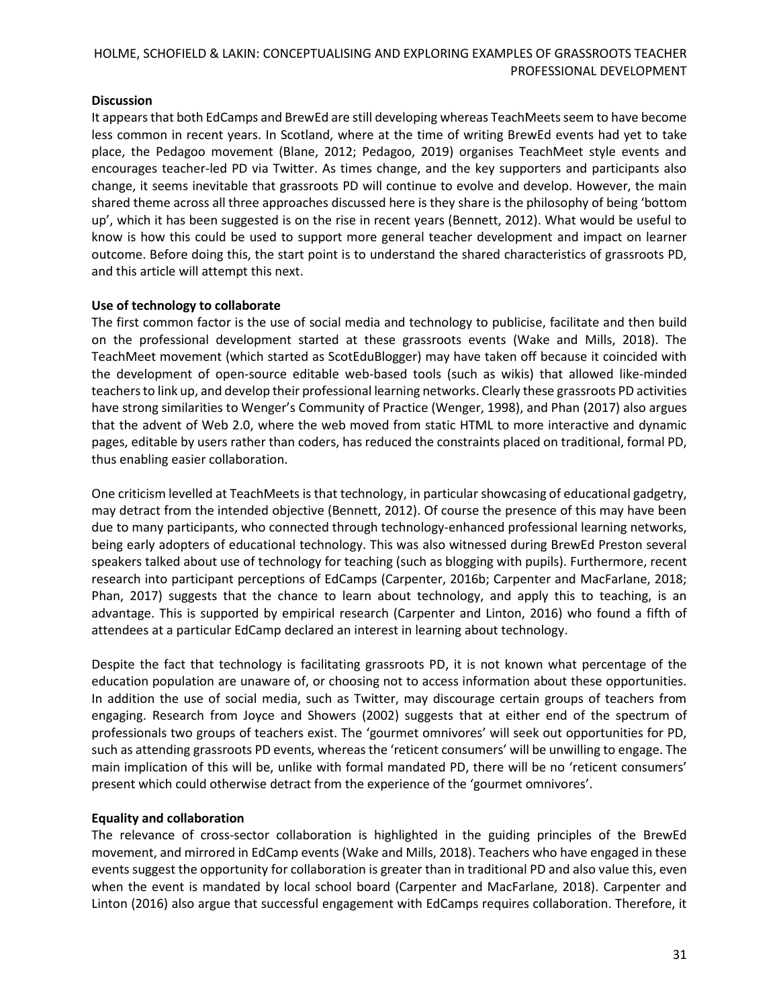## **Discussion**

It appears that both EdCamps and BrewEd are still developing whereas TeachMeets seem to have become less common in recent years. In Scotland, where at the time of writing BrewEd events had yet to take place, the Pedagoo movement (Blane, 2012; Pedagoo, 2019) organises TeachMeet style events and encourages teacher-led PD via Twitter. As times change, and the key supporters and participants also change, it seems inevitable that grassroots PD will continue to evolve and develop. However, the main shared theme across all three approaches discussed here is they share is the philosophy of being 'bottom up', which it has been suggested is on the rise in recent years (Bennett, 2012). What would be useful to know is how this could be used to support more general teacher development and impact on learner outcome. Before doing this, the start point is to understand the shared characteristics of grassroots PD, and this article will attempt this next.

## **Use of technology to collaborate**

The first common factor is the use of social media and technology to publicise, facilitate and then build on the professional development started at these grassroots events (Wake and Mills, 2018). The TeachMeet movement (which started as ScotEduBlogger) may have taken off because it coincided with the development of open-source editable web-based tools (such as wikis) that allowed like-minded teachers to link up, and develop their professional learning networks. Clearly these grassroots PD activities have strong similarities to Wenger's Community of Practice (Wenger, 1998), and Phan (2017) also argues that the advent of Web 2.0, where the web moved from static HTML to more interactive and dynamic pages, editable by users rather than coders, has reduced the constraints placed on traditional, formal PD, thus enabling easier collaboration.

One criticism levelled at TeachMeets is that technology, in particular showcasing of educational gadgetry, may detract from the intended objective (Bennett, 2012). Of course the presence of this may have been due to many participants, who connected through technology-enhanced professional learning networks, being early adopters of educational technology. This was also witnessed during BrewEd Preston several speakers talked about use of technology for teaching (such as blogging with pupils). Furthermore, recent research into participant perceptions of EdCamps (Carpenter, 2016b; Carpenter and MacFarlane, 2018; Phan, 2017) suggests that the chance to learn about technology, and apply this to teaching, is an advantage. This is supported by empirical research (Carpenter and Linton, 2016) who found a fifth of attendees at a particular EdCamp declared an interest in learning about technology.

Despite the fact that technology is facilitating grassroots PD, it is not known what percentage of the education population are unaware of, or choosing not to access information about these opportunities. In addition the use of social media, such as Twitter, may discourage certain groups of teachers from engaging. Research from Joyce and Showers (2002) suggests that at either end of the spectrum of professionals two groups of teachers exist. The 'gourmet omnivores' will seek out opportunities for PD, such as attending grassroots PD events, whereas the 'reticent consumers' will be unwilling to engage. The main implication of this will be, unlike with formal mandated PD, there will be no 'reticent consumers' present which could otherwise detract from the experience of the 'gourmet omnivores'.

# **Equality and collaboration**

The relevance of cross-sector collaboration is highlighted in the guiding principles of the BrewEd movement, and mirrored in EdCamp events (Wake and Mills, 2018). Teachers who have engaged in these events suggest the opportunity for collaboration is greater than in traditional PD and also value this, even when the event is mandated by local school board (Carpenter and MacFarlane, 2018). Carpenter and Linton (2016) also argue that successful engagement with EdCamps requires collaboration. Therefore, it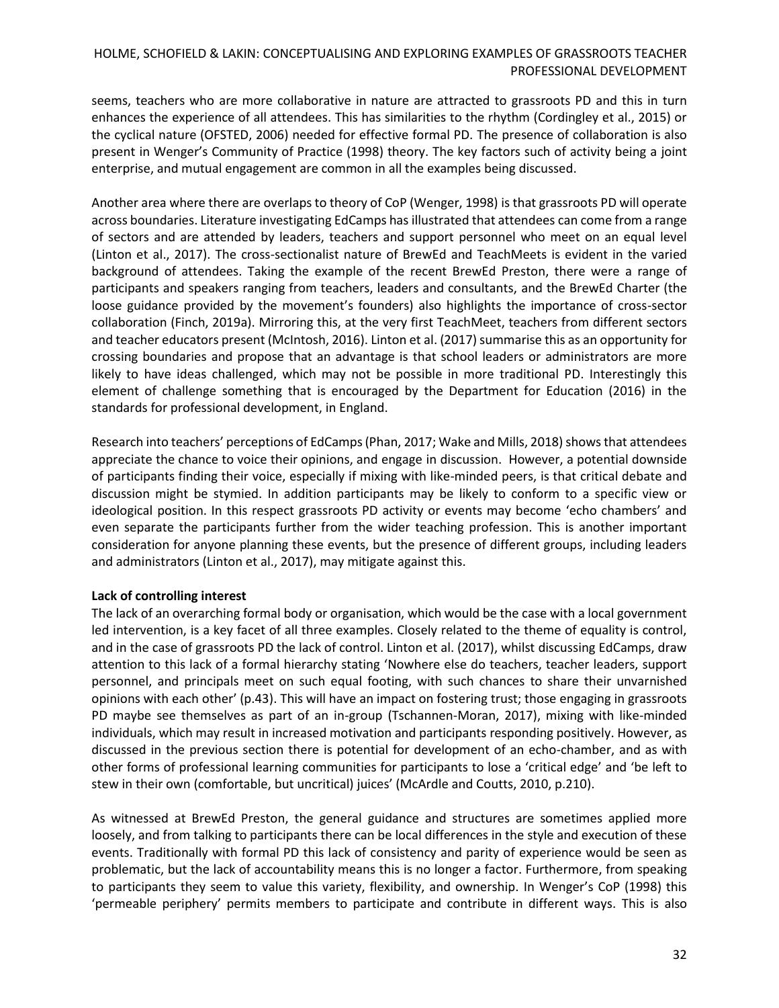seems, teachers who are more collaborative in nature are attracted to grassroots PD and this in turn enhances the experience of all attendees. This has similarities to the rhythm (Cordingley et al., 2015) or the cyclical nature (OFSTED, 2006) needed for effective formal PD. The presence of collaboration is also present in Wenger's Community of Practice (1998) theory. The key factors such of activity being a joint enterprise, and mutual engagement are common in all the examples being discussed.

Another area where there are overlaps to theory of CoP (Wenger, 1998) is that grassroots PD will operate across boundaries. Literature investigating EdCamps has illustrated that attendees can come from a range of sectors and are attended by leaders, teachers and support personnel who meet on an equal level (Linton et al., 2017). The cross-sectionalist nature of BrewEd and TeachMeets is evident in the varied background of attendees. Taking the example of the recent BrewEd Preston, there were a range of participants and speakers ranging from teachers, leaders and consultants, and the BrewEd Charter (the loose guidance provided by the movement's founders) also highlights the importance of cross-sector collaboration (Finch, 2019a). Mirroring this, at the very first TeachMeet, teachers from different sectors and teacher educators present (McIntosh, 2016). Linton et al. (2017) summarise this as an opportunity for crossing boundaries and propose that an advantage is that school leaders or administrators are more likely to have ideas challenged, which may not be possible in more traditional PD. Interestingly this element of challenge something that is encouraged by the Department for Education (2016) in the standards for professional development, in England.

Research into teachers' perceptions of EdCamps (Phan, 2017; Wake and Mills, 2018) shows that attendees appreciate the chance to voice their opinions, and engage in discussion. However, a potential downside of participants finding their voice, especially if mixing with like-minded peers, is that critical debate and discussion might be stymied. In addition participants may be likely to conform to a specific view or ideological position. In this respect grassroots PD activity or events may become 'echo chambers' and even separate the participants further from the wider teaching profession. This is another important consideration for anyone planning these events, but the presence of different groups, including leaders and administrators (Linton et al., 2017), may mitigate against this.

# **Lack of controlling interest**

The lack of an overarching formal body or organisation, which would be the case with a local government led intervention, is a key facet of all three examples. Closely related to the theme of equality is control, and in the case of grassroots PD the lack of control. Linton et al. (2017), whilst discussing EdCamps, draw attention to this lack of a formal hierarchy stating 'Nowhere else do teachers, teacher leaders, support personnel, and principals meet on such equal footing, with such chances to share their unvarnished opinions with each other' (p.43). This will have an impact on fostering trust; those engaging in grassroots PD maybe see themselves as part of an in-group (Tschannen-Moran, 2017), mixing with like-minded individuals, which may result in increased motivation and participants responding positively. However, as discussed in the previous section there is potential for development of an echo-chamber, and as with other forms of professional learning communities for participants to lose a 'critical edge' and 'be left to stew in their own (comfortable, but uncritical) juices' (McArdle and Coutts, 2010, p.210).

As witnessed at BrewEd Preston, the general guidance and structures are sometimes applied more loosely, and from talking to participants there can be local differences in the style and execution of these events. Traditionally with formal PD this lack of consistency and parity of experience would be seen as problematic, but the lack of accountability means this is no longer a factor. Furthermore, from speaking to participants they seem to value this variety, flexibility, and ownership. In Wenger's CoP (1998) this 'permeable periphery' permits members to participate and contribute in different ways. This is also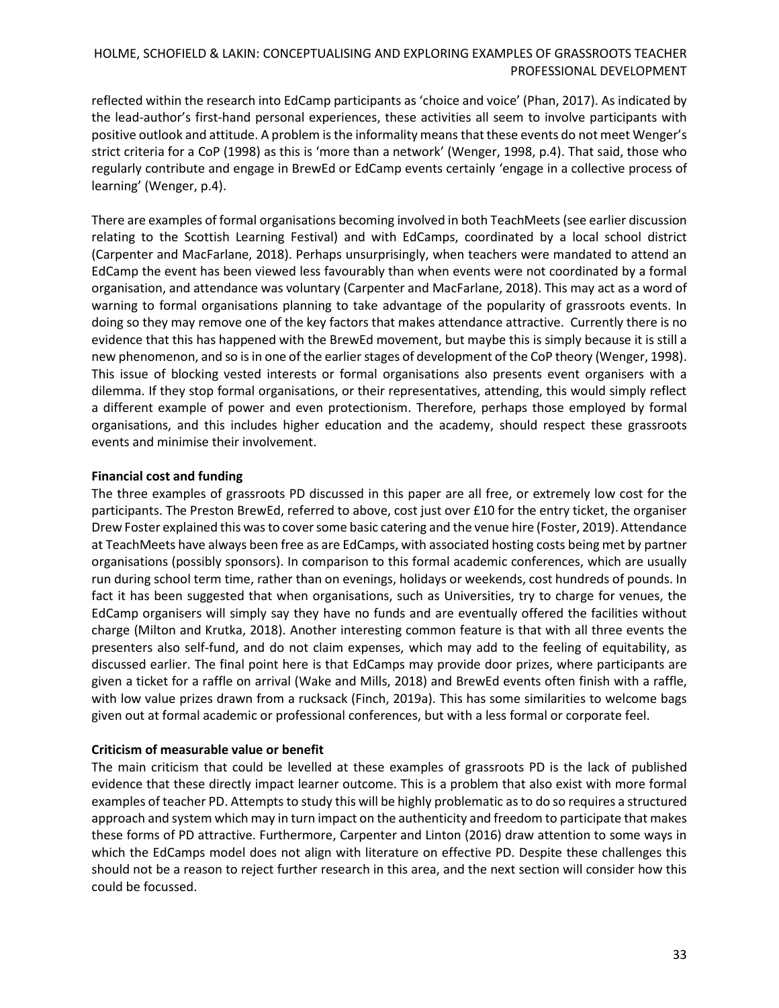reflected within the research into EdCamp participants as 'choice and voice' (Phan, 2017). As indicated by the lead-author's first-hand personal experiences, these activities all seem to involve participants with positive outlook and attitude. A problem is the informality meansthat these events do not meet Wenger's strict criteria for a CoP (1998) as this is 'more than a network' (Wenger, 1998, p.4). That said, those who regularly contribute and engage in BrewEd or EdCamp events certainly 'engage in a collective process of learning' (Wenger, p.4).

There are examples of formal organisations becoming involved in both TeachMeets (see earlier discussion relating to the Scottish Learning Festival) and with EdCamps, coordinated by a local school district (Carpenter and MacFarlane, 2018). Perhaps unsurprisingly, when teachers were mandated to attend an EdCamp the event has been viewed less favourably than when events were not coordinated by a formal organisation, and attendance was voluntary (Carpenter and MacFarlane, 2018). This may act as a word of warning to formal organisations planning to take advantage of the popularity of grassroots events. In doing so they may remove one of the key factors that makes attendance attractive. Currently there is no evidence that this has happened with the BrewEd movement, but maybe this is simply because it is still a new phenomenon, and so is in one of the earlier stages of development of the CoP theory (Wenger, 1998). This issue of blocking vested interests or formal organisations also presents event organisers with a dilemma. If they stop formal organisations, or their representatives, attending, this would simply reflect a different example of power and even protectionism. Therefore, perhaps those employed by formal organisations, and this includes higher education and the academy, should respect these grassroots events and minimise their involvement.

## **Financial cost and funding**

The three examples of grassroots PD discussed in this paper are all free, or extremely low cost for the participants. The Preston BrewEd, referred to above, cost just over £10 for the entry ticket, the organiser Drew Foster explained this was to cover some basic catering and the venue hire (Foster, 2019). Attendance at TeachMeets have always been free as are EdCamps, with associated hosting costs being met by partner organisations (possibly sponsors). In comparison to this formal academic conferences, which are usually run during school term time, rather than on evenings, holidays or weekends, cost hundreds of pounds. In fact it has been suggested that when organisations, such as Universities, try to charge for venues, the EdCamp organisers will simply say they have no funds and are eventually offered the facilities without charge (Milton and Krutka, 2018). Another interesting common feature is that with all three events the presenters also self-fund, and do not claim expenses, which may add to the feeling of equitability, as discussed earlier. The final point here is that EdCamps may provide door prizes, where participants are given a ticket for a raffle on arrival (Wake and Mills, 2018) and BrewEd events often finish with a raffle, with low value prizes drawn from a rucksack (Finch, 2019a). This has some similarities to welcome bags given out at formal academic or professional conferences, but with a less formal or corporate feel.

# **Criticism of measurable value or benefit**

The main criticism that could be levelled at these examples of grassroots PD is the lack of published evidence that these directly impact learner outcome. This is a problem that also exist with more formal examples of teacher PD. Attempts to study this will be highly problematic as to do so requires a structured approach and system which may in turn impact on the authenticity and freedom to participate that makes these forms of PD attractive. Furthermore, Carpenter and Linton (2016) draw attention to some ways in which the EdCamps model does not align with literature on effective PD. Despite these challenges this should not be a reason to reject further research in this area, and the next section will consider how this could be focussed.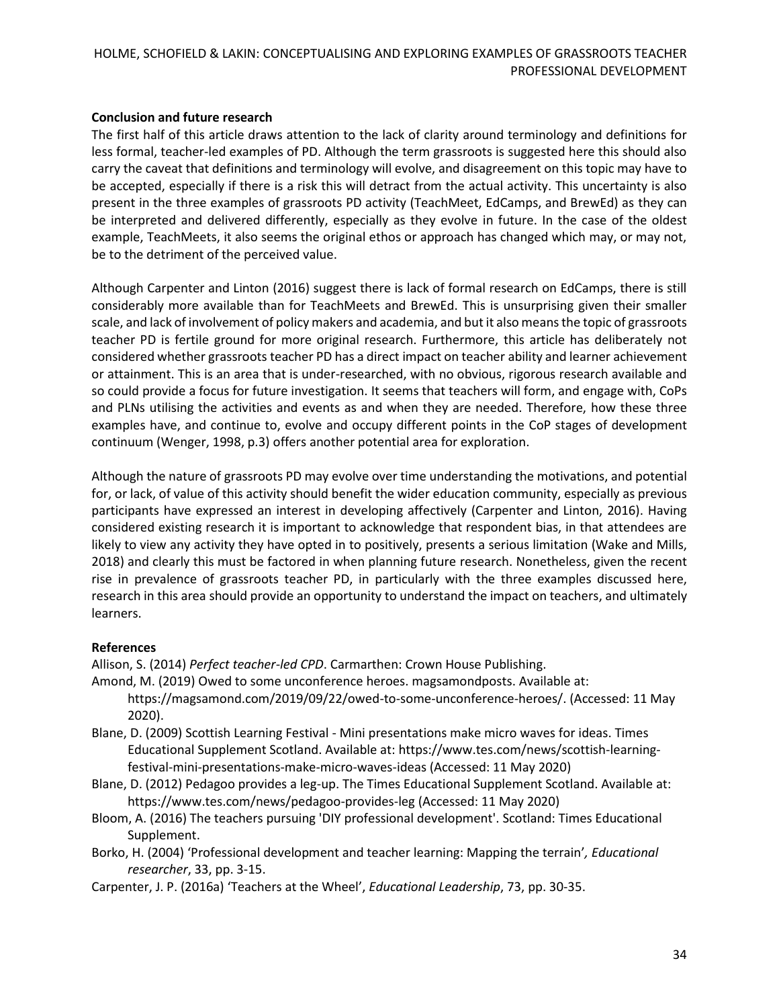### **Conclusion and future research**

The first half of this article draws attention to the lack of clarity around terminology and definitions for less formal, teacher-led examples of PD. Although the term grassroots is suggested here this should also carry the caveat that definitions and terminology will evolve, and disagreement on this topic may have to be accepted, especially if there is a risk this will detract from the actual activity. This uncertainty is also present in the three examples of grassroots PD activity (TeachMeet, EdCamps, and BrewEd) as they can be interpreted and delivered differently, especially as they evolve in future. In the case of the oldest example, TeachMeets, it also seems the original ethos or approach has changed which may, or may not, be to the detriment of the perceived value.

Although Carpenter and Linton (2016) suggest there is lack of formal research on EdCamps, there is still considerably more available than for TeachMeets and BrewEd. This is unsurprising given their smaller scale, and lack of involvement of policy makers and academia, and but it also means the topic of grassroots teacher PD is fertile ground for more original research. Furthermore, this article has deliberately not considered whether grassroots teacher PD has a direct impact on teacher ability and learner achievement or attainment. This is an area that is under-researched, with no obvious, rigorous research available and so could provide a focus for future investigation. It seems that teachers will form, and engage with, CoPs and PLNs utilising the activities and events as and when they are needed. Therefore, how these three examples have, and continue to, evolve and occupy different points in the CoP stages of development continuum (Wenger, 1998, p.3) offers another potential area for exploration.

Although the nature of grassroots PD may evolve over time understanding the motivations, and potential for, or lack, of value of this activity should benefit the wider education community, especially as previous participants have expressed an interest in developing affectively (Carpenter and Linton, 2016). Having considered existing research it is important to acknowledge that respondent bias, in that attendees are likely to view any activity they have opted in to positively, presents a serious limitation (Wake and Mills, 2018) and clearly this must be factored in when planning future research. Nonetheless, given the recent rise in prevalence of grassroots teacher PD, in particularly with the three examples discussed here, research in this area should provide an opportunity to understand the impact on teachers, and ultimately learners.

### **References**

Allison, S. (2014) *Perfect teacher-led CPD*. Carmarthen: Crown House Publishing.

- Amond, M. (2019) Owed to some unconference heroes. magsamondposts. Available at:
	- [https://magsamond.com/2019/09/22/owed-to-some-unconference-heroes/.](https://magsamond.com/2019/09/22/owed-to-some-unconference-heroes/) (Accessed: 11 May 2020).
- Blane, D. (2009) Scottish Learning Festival Mini presentations make micro waves for ideas. Times Educational Supplement Scotland. Available at: [https://www.tes.com/news/scottish-learning](https://www.tes.com/news/scottish-learning-festival-mini-presentations-make-micro-waves-ideas)[festival-mini-presentations-make-micro-waves-ideas](https://www.tes.com/news/scottish-learning-festival-mini-presentations-make-micro-waves-ideas) (Accessed: 11 May 2020)
- Blane, D. (2012) Pedagoo provides a leg-up. The Times Educational Supplement Scotland. Available at: <https://www.tes.com/news/pedagoo-provides-leg> (Accessed: 11 May 2020)
- Bloom, A. (2016) The teachers pursuing 'DIY professional development'. Scotland: Times Educational Supplement.
- Borko, H. (2004) 'Professional development and teacher learning: Mapping the terrain'*, Educational researcher*, 33, pp. 3-15.
- Carpenter, J. P. (2016a) 'Teachers at the Wheel', *Educational Leadership*, 73, pp. 30-35.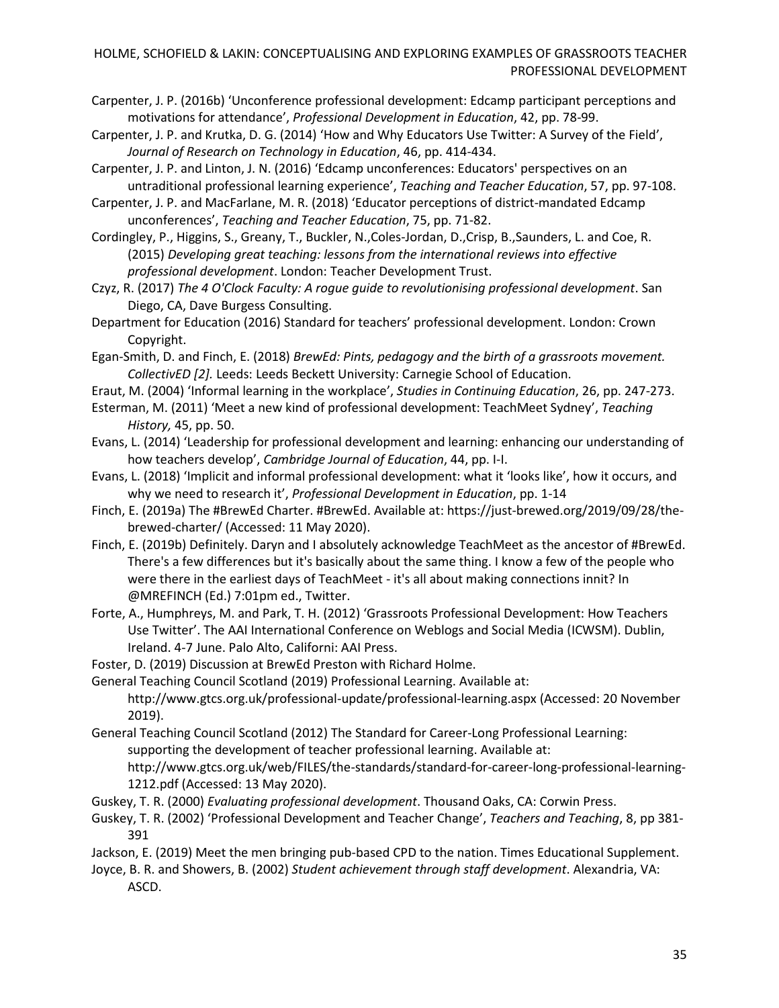- Carpenter, J. P. (2016b) 'Unconference professional development: Edcamp participant perceptions and motivations for attendance', *Professional Development in Education*, 42, pp. 78-99.
- Carpenter, J. P. and Krutka, D. G. (2014) 'How and Why Educators Use Twitter: A Survey of the Field', *Journal of Research on Technology in Education*, 46, pp. 414-434.
- Carpenter, J. P. and Linton, J. N. (2016) 'Edcamp unconferences: Educators' perspectives on an untraditional professional learning experience', *Teaching and Teacher Education*, 57, pp. 97-108.
- Carpenter, J. P. and MacFarlane, M. R. (2018) 'Educator perceptions of district-mandated Edcamp unconferences', *Teaching and Teacher Education*, 75, pp. 71-82.
- Cordingley, P., Higgins, S., Greany, T., Buckler, N.,Coles-Jordan, D.,Crisp, B.,Saunders, L. and Coe, R. (2015) *Developing great teaching: lessons from the international reviews into effective professional development*. London: Teacher Development Trust.
- Czyz, R. (2017) *The 4 O'Clock Faculty: A rogue guide to revolutionising professional development*. San Diego, CA, Dave Burgess Consulting.
- Department for Education (2016) Standard for teachers' professional development. London: Crown Copyright.
- Egan-Smith, D. and Finch, E. (2018) *BrewEd: Pints, pedagogy and the birth of a grassroots movement. CollectivED [2].* Leeds: Leeds Beckett University: Carnegie School of Education.
- Eraut, M. (2004) 'Informal learning in the workplace', *Studies in Continuing Education*, 26, pp. 247-273.
- Esterman, M. (2011) 'Meet a new kind of professional development: TeachMeet Sydney', *Teaching History,* 45, pp. 50.
- Evans, L. (2014) 'Leadership for professional development and learning: enhancing our understanding of how teachers develop', *Cambridge Journal of Education*, 44, pp. I-I.
- Evans, L. (2018) 'Implicit and informal professional development: what it 'looks like', how it occurs, and why we need to research it', *Professional Development in Education*, pp. 1-14
- Finch, E. (2019a) The #BrewEd Charter. #BrewEd. Available at: [https://just-brewed.org/2019/09/28/the](https://just-brewed.org/2019/09/28/the-brewed-charter/)[brewed-charter/](https://just-brewed.org/2019/09/28/the-brewed-charter/) (Accessed: 11 May 2020).
- Finch, E. (2019b) Definitely. Daryn and I absolutely acknowledge TeachMeet as the ancestor of #BrewEd. There's a few differences but it's basically about the same thing. I know a few of the people who were there in the earliest days of TeachMeet - it's all about making connections innit? In @MREFINCH (Ed.) 7:01pm ed., Twitter.
- Forte, A., Humphreys, M. and Park, T. H. (2012) 'Grassroots Professional Development: How Teachers Use Twitter'. The AAI International Conference on Weblogs and Social Media (ICWSM). Dublin, Ireland. 4-7 June. Palo Alto, Californi: AAI Press.
- Foster, D. (2019) Discussion at BrewEd Preston with Richard Holme.

General Teaching Council Scotland (2019) Professional Learning. Available at:

<http://www.gtcs.org.uk/professional-update/professional-learning.aspx> (Accessed: 20 November 2019).

General Teaching Council Scotland (2012) The Standard for Career-Long Professional Learning: supporting the development of teacher professional learning. Available at:

[http://www.gtcs.org.uk/web/FILES/the-standards/standard-for-career-long-professional-learning-](http://www.gtcs.org.uk/web/FILES/the-standards/standard-for-career-long-professional-learning-1212.pdf)[1212.pdf](http://www.gtcs.org.uk/web/FILES/the-standards/standard-for-career-long-professional-learning-1212.pdf) (Accessed: 13 May 2020).

- Guskey, T. R. (2000) *Evaluating professional development*. Thousand Oaks, CA: Corwin Press.
- Guskey, T. R. (2002) 'Professional Development and Teacher Change', *Teachers and Teaching*, 8, pp 381- 391
- Jackson, E. (2019) Meet the men bringing pub-based CPD to the nation. Times Educational Supplement.
- Joyce, B. R. and Showers, B. (2002) *Student achievement through staff development*. Alexandria, VA: ASCD.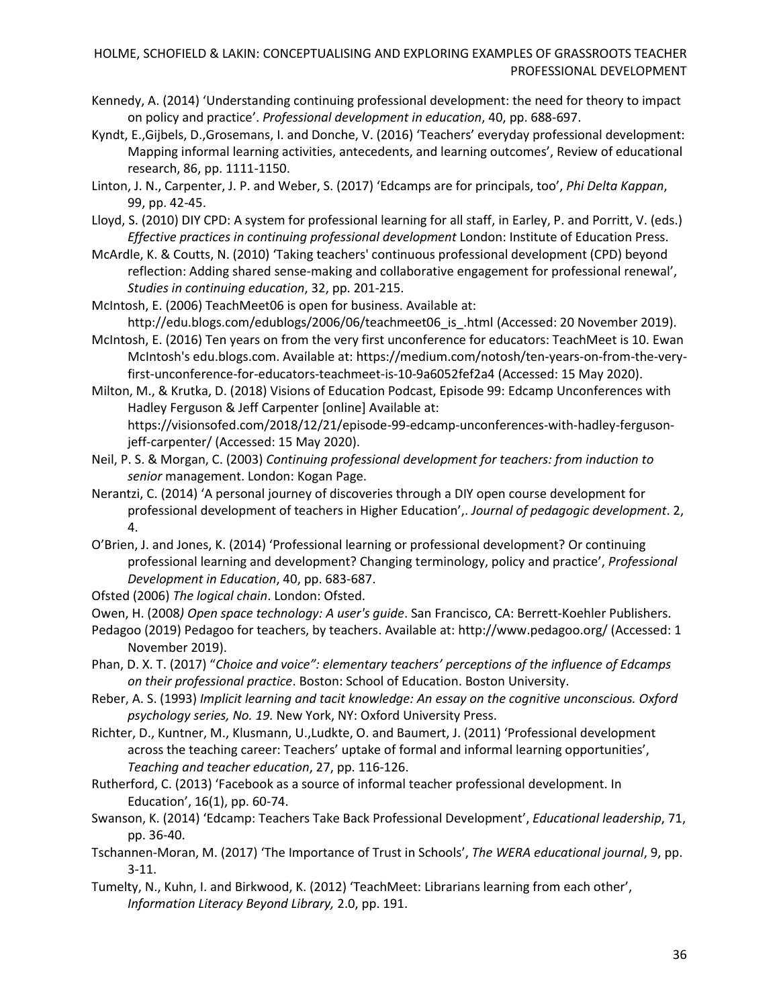- Kennedy, A. (2014) 'Understanding continuing professional development: the need for theory to impact on policy and practice'. *Professional development in education*, 40, pp. 688-697.
- Kyndt, E.,Gijbels, D.,Grosemans, I. and Donche, V. (2016) 'Teachers' everyday professional development: Mapping informal learning activities, antecedents, and learning outcomes', Review of educational research, 86, pp. 1111-1150.
- Linton, J. N., Carpenter, J. P. and Weber, S. (2017) 'Edcamps are for principals, too', *Phi Delta Kappan*, 99, pp. 42-45.
- Lloyd, S. (2010) DIY CPD: A system for professional learning for all staff, in Earley, P. and Porritt, V. (eds.) *Effective practices in continuing professional development* London: Institute of Education Press.
- McArdle, K. & Coutts, N. (2010) 'Taking teachers' continuous professional development (CPD) beyond reflection: Adding shared sense-making and collaborative engagement for professional renewal', *Studies in continuing education*, 32, pp. 201-215.
- McIntosh, E. (2006) TeachMeet06 is open for business. Available at: http://edu.blogs.com/edublogs/2006/06/teachmeet06 is .html (Accessed: 20 November 2019).
- McIntosh, E. (2016) Ten years on from the very first unconference for educators: TeachMeet is 10. Ewan McIntosh's edu.blogs.com. Available at: [https://medium.com/notosh/ten-years-on-from-the-very](https://medium.com/notosh/ten-years-on-from-the-very-first-unconference-for-educators-teachmeet-is-10-9a6052fef2a4)[first-unconference-for-educators-teachmeet-is-10-9a6052fef2a4](https://medium.com/notosh/ten-years-on-from-the-very-first-unconference-for-educators-teachmeet-is-10-9a6052fef2a4) (Accessed: 15 May 2020).
- Milton, M., & Krutka, D. (2018) Visions of Education Podcast, Episode 99: Edcamp Unconferences with Hadley Ferguson & Jeff Carpenter [online] Available at:

[https://visionsofed.com/2018/12/21/episode-99-edcamp-unconferences-with-hadley-ferguson](https://visionsofed.com/2018/12/21/episode-99-edcamp-unconferences-with-hadley-ferguson-jeff-carpenter/)[jeff-carpenter/](https://visionsofed.com/2018/12/21/episode-99-edcamp-unconferences-with-hadley-ferguson-jeff-carpenter/) (Accessed: 15 May 2020).

- Neil, P. S. & Morgan, C. (2003) *Continuing professional development for teachers: from induction to senior* management. London: Kogan Page.
- Nerantzi, C. (2014) 'A personal journey of discoveries through a DIY open course development for professional development of teachers in Higher Education',. *Journal of pedagogic development*. 2, 4.
- O'Brien, J. and Jones, K. (2014) 'Professional learning or professional development? Or continuing professional learning and development? Changing terminology, policy and practice', *Professional Development in Education*, 40, pp. 683-687.
- Ofsted (2006) *The logical chain*. London: Ofsted.
- Owen, H. (2008*) Open space technology: A user's guide*. San Francisco, CA: Berrett-Koehler Publishers.
- Pedagoo (2019) Pedagoo for teachers, by teachers. Available at: <http://www.pedagoo.org/> (Accessed: 1 November 2019).
- Phan, D. X. T. (2017) "*Choice and voice": elementary teachers' perceptions of the influence of Edcamps on their professional practice*. Boston: School of Education. Boston University.
- Reber, A. S. (1993) *Implicit learning and tacit knowledge: An essay on the cognitive unconscious. Oxford psychology series, No. 19.* New York, NY: Oxford University Press.
- Richter, D., Kuntner, M., Klusmann, U.,Ludkte, O. and Baumert, J. (2011) 'Professional development across the teaching career: Teachers' uptake of formal and informal learning opportunities', *Teaching and teacher education*, 27, pp. 116-126.
- Rutherford, C. (2013) 'Facebook as a source of informal teacher professional development. In Education', 16(1), pp. 60-74.
- Swanson, K. (2014) 'Edcamp: Teachers Take Back Professional Development', *Educational leadership*, 71, pp. 36-40.
- Tschannen-Moran, M. (2017) 'The Importance of Trust in Schools', *The WERA educational journal*, 9, pp. 3-11.
- Tumelty, N., Kuhn, I. and Birkwood, K. (2012) 'TeachMeet: Librarians learning from each other', *Information Literacy Beyond Library,* 2.0, pp. 191.